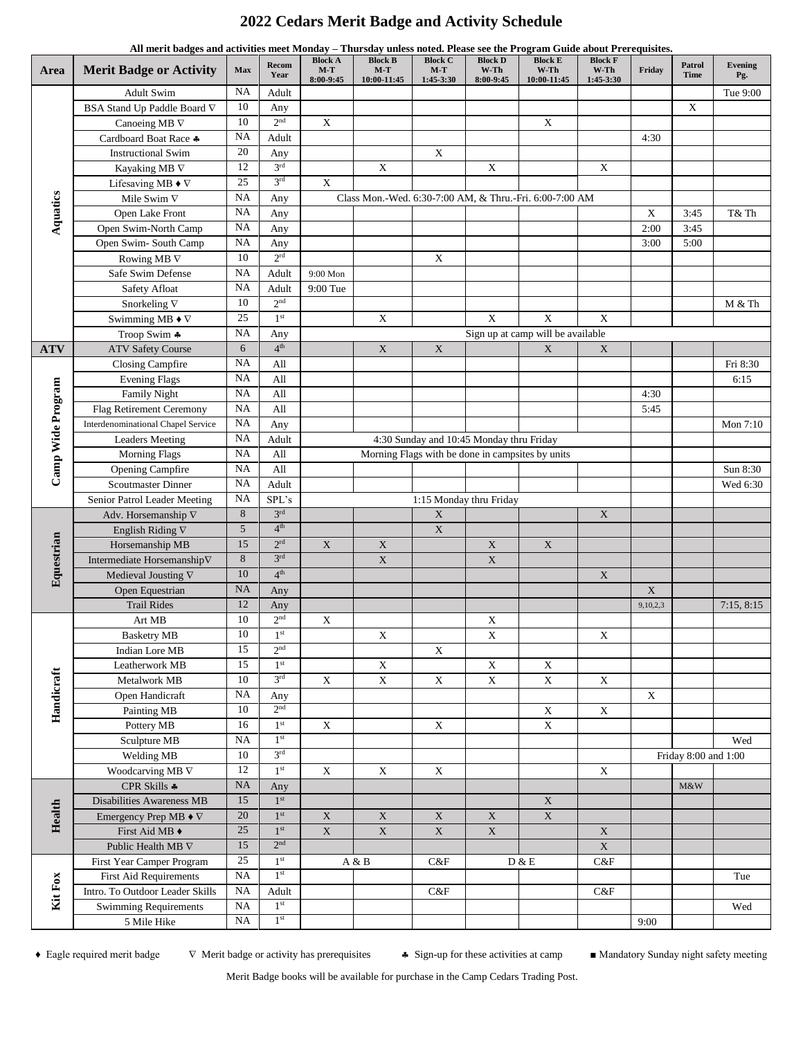## **2022 Cedars Merit Badge and Activity Schedule**

|                   | All merit badges and activities meet Monday - Thursday unless noted. Please see the Program Guide about Prerequisites. |                 |                   |                                      |                                                         |                                      |                                          |                                       |                                     |             |                       |                       |
|-------------------|------------------------------------------------------------------------------------------------------------------------|-----------------|-------------------|--------------------------------------|---------------------------------------------------------|--------------------------------------|------------------------------------------|---------------------------------------|-------------------------------------|-------------|-----------------------|-----------------------|
| Area              | <b>Merit Badge or Activity</b>                                                                                         | Max             | Recom<br>Year     | <b>Block A</b><br>$M-T$<br>8:00-9:45 | <b>Block B</b><br>$M-T$<br>10:00-11:45                  | <b>Block C</b><br>$M-T$<br>1:45-3:30 | <b>Block D</b><br>$W-Th$<br>8:00-9:45    | <b>Block E</b><br>W-Th<br>10:00-11:45 | <b>Block F</b><br>W-Th<br>1:45-3:30 | Friday      | Patrol<br><b>Time</b> | <b>Evening</b><br>Pg. |
| Aquatics          | <b>Adult Swim</b>                                                                                                      | <b>NA</b>       | Adult             |                                      |                                                         |                                      |                                          |                                       |                                     |             |                       | Tue 9:00              |
|                   | BSA Stand Up Paddle Board $\nabla$                                                                                     | $10\,$          | Any               |                                      |                                                         |                                      |                                          |                                       |                                     |             | X                     |                       |
|                   | Canoeing MB $\nabla$                                                                                                   | 10              | 2 <sup>nd</sup>   | $\mathbf X$                          |                                                         |                                      |                                          | $\mathbf X$                           |                                     |             |                       |                       |
|                   | Cardboard Boat Race +                                                                                                  | <b>NA</b>       | Adult             |                                      |                                                         |                                      |                                          |                                       |                                     | 4:30        |                       |                       |
|                   | <b>Instructional Swim</b>                                                                                              | 20              | Any               |                                      |                                                         | $\mathbf X$                          |                                          |                                       |                                     |             |                       |                       |
|                   | Kayaking MB $\nabla$                                                                                                   | 12              | $3^{\mathrm{rd}}$ |                                      | $\mathbf X$                                             |                                      | $\mathbf X$                              |                                       | $\mathbf X$                         |             |                       |                       |
|                   | Lifesaving MB $\blacklozenge \nabla$                                                                                   | 25              | 3 <sup>rd</sup>   | $\mathbf X$                          |                                                         |                                      |                                          |                                       |                                     |             |                       |                       |
|                   | Mile Swim $\nabla$                                                                                                     | <b>NA</b>       | Any               |                                      | Class Mon.-Wed. 6:30-7:00 AM, & Thru.-Fri. 6:00-7:00 AM |                                      |                                          |                                       |                                     |             |                       |                       |
|                   | Open Lake Front                                                                                                        | <b>NA</b>       | Any               |                                      |                                                         |                                      |                                          |                                       |                                     | $\mathbf X$ | 3:45                  | T& Th                 |
|                   | Open Swim-North Camp                                                                                                   | <b>NA</b>       | Any               |                                      |                                                         |                                      |                                          |                                       |                                     | 2:00        | 3:45                  |                       |
|                   | Open Swim-South Camp                                                                                                   | <b>NA</b>       | Any               |                                      |                                                         |                                      |                                          |                                       |                                     | 3:00        | 5:00                  |                       |
|                   | Rowing MB $\nabla$                                                                                                     | 10              | 2 <sup>rd</sup>   |                                      |                                                         | $\mathbf X$                          |                                          |                                       |                                     |             |                       |                       |
|                   | Safe Swim Defense                                                                                                      | NA              | Adult             | 9:00 Mon                             |                                                         |                                      |                                          |                                       |                                     |             |                       |                       |
|                   | Safety Afloat                                                                                                          | <b>NA</b>       | Adult             | 9:00 Tue                             |                                                         |                                      |                                          |                                       |                                     |             |                       |                       |
|                   | Snorkeling $\nabla$                                                                                                    | 10              | 2 <sup>nd</sup>   |                                      |                                                         |                                      |                                          |                                       |                                     |             |                       | M & Th                |
|                   | Swimming MB $\blacklozenge \nabla$                                                                                     | 25              | 1 <sup>st</sup>   |                                      | $\overline{\mathbf{X}}$                                 |                                      | $\mathbf X$                              | $\mathbf X$                           | $\mathbf X$                         |             |                       |                       |
|                   | Troop Swim *                                                                                                           | <b>NA</b>       | Any               |                                      |                                                         |                                      |                                          | Sign up at camp will be available     |                                     |             |                       |                       |
| <b>ATV</b>        | <b>ATV Safety Course</b>                                                                                               | 6               | 4 <sup>th</sup>   |                                      | $\mathbf X$                                             | $\mathbf X$                          |                                          | $\mathbf X$                           | $\mathbf X$                         |             |                       |                       |
|                   | Closing Campfire                                                                                                       | NA              | All               |                                      |                                                         |                                      |                                          |                                       |                                     |             |                       | Fri 8:30              |
|                   | <b>Evening Flags</b>                                                                                                   | <b>NA</b>       | All               |                                      |                                                         |                                      |                                          |                                       |                                     |             |                       | 6:15                  |
|                   | Family Night                                                                                                           | <b>NA</b>       | All               |                                      |                                                         |                                      |                                          |                                       |                                     | 4:30        |                       |                       |
|                   | Flag Retirement Ceremony                                                                                               | <b>NA</b>       | All               |                                      |                                                         |                                      |                                          |                                       |                                     | 5:45        |                       |                       |
|                   | <b>Interdenominational Chapel Service</b>                                                                              | <b>NA</b>       | Any               |                                      |                                                         |                                      |                                          |                                       |                                     |             |                       | Mon 7:10              |
|                   | <b>Leaders Meeting</b>                                                                                                 | NA              | Adult             |                                      |                                                         |                                      | 4:30 Sunday and 10:45 Monday thru Friday |                                       |                                     |             |                       |                       |
|                   | <b>Morning Flags</b>                                                                                                   | $_{\rm NA}$     | All               |                                      | Morning Flags with be done in campsites by units        |                                      |                                          |                                       |                                     |             |                       |                       |
| Camp Wide Program | Opening Campfire                                                                                                       | NA              | All               |                                      |                                                         |                                      |                                          |                                       |                                     |             |                       | Sun 8:30              |
|                   | <b>Scoutmaster Dinner</b>                                                                                              | <b>NA</b>       | Adult             |                                      |                                                         |                                      |                                          |                                       |                                     |             |                       | Wed 6:30              |
|                   | Senior Patrol Leader Meeting                                                                                           | <b>NA</b>       | SPL's             |                                      |                                                         |                                      | 1:15 Monday thru Friday                  |                                       |                                     |             |                       |                       |
| Equestrian        | Adv. Horsemanship $\nabla$                                                                                             | 8               | 3 <sup>rd</sup>   |                                      |                                                         | $\mathbf X$                          |                                          |                                       | $\mathbf X$                         |             |                       |                       |
|                   | English Riding $\nabla$                                                                                                | 5               | 4 <sup>th</sup>   |                                      |                                                         | $\mathbf X$                          |                                          |                                       |                                     |             |                       |                       |
|                   | Horsemanship MB                                                                                                        | 15              | 2 <sup>rd</sup>   | $\mathbf X$                          | $\mathbf X$                                             |                                      | $\mathbf X$                              | $\mathbf X$                           |                                     |             |                       |                       |
|                   | Intermediate Horsemanship $\nabla$                                                                                     | 8               | 3 <sup>rd</sup>   |                                      | $\mathbf X$                                             |                                      | $\mathbf X$                              |                                       |                                     |             |                       |                       |
|                   | Medieval Jousting $\nabla$                                                                                             | 10              | 4 <sup>th</sup>   |                                      |                                                         |                                      |                                          |                                       | $\mathbf X$                         |             |                       |                       |
|                   | Open Equestrian                                                                                                        | <b>NA</b>       | Any               |                                      |                                                         |                                      |                                          |                                       |                                     | $\mathbf X$ |                       |                       |
|                   | <b>Trail Rides</b>                                                                                                     | 12              | Any               |                                      |                                                         |                                      |                                          |                                       |                                     | 9,10,2,3    |                       | 7:15, 8:15            |
|                   | Art MB                                                                                                                 | 10              | $2^{\rm nd}$      | X                                    |                                                         |                                      | $\mathbf X$                              |                                       |                                     |             |                       |                       |
|                   | <b>Basketry MB</b>                                                                                                     | 10              | 1 <sup>st</sup>   |                                      | $\mathbf X$                                             |                                      | $\overline{\mathbf{X}}$                  |                                       | X                                   |             |                       |                       |
|                   | Indian Lore MB                                                                                                         | 15              | 2 <sup>nd</sup>   |                                      |                                                         | $\mathbf X$                          |                                          |                                       |                                     |             |                       |                       |
|                   | Leatherwork MB                                                                                                         | $\overline{15}$ | 1 <sup>st</sup>   |                                      | $\mathbf X$                                             |                                      | $\mathbf X$                              | $\mathbf X$                           |                                     |             |                       |                       |
| Handicraft        | Metalwork MB                                                                                                           | 10              | 3 <sup>rd</sup>   | $\mathbf X$                          | $\overline{\textbf{X}}$                                 | $\mathbf X$                          | $\overline{\textbf{X}}$                  | $\overline{X}$                        | $\mathbf X$                         |             |                       |                       |
|                   | Open Handicraft                                                                                                        | <b>NA</b>       | Any               |                                      |                                                         |                                      |                                          |                                       |                                     | X           |                       |                       |
|                   | Painting MB                                                                                                            | 10              | 2 <sup>nd</sup>   |                                      |                                                         |                                      |                                          | $\mathbf X$                           | $\mathbf X$                         |             |                       |                       |
|                   | Pottery MB                                                                                                             | 16              | 1 <sup>st</sup>   | $\mathbf X$                          |                                                         | $\mathbf X$                          |                                          | $\mathbf X$                           |                                     |             |                       |                       |
|                   | Sculpture MB                                                                                                           | $_{\rm NA}$     | 1 <sup>st</sup>   |                                      |                                                         |                                      |                                          |                                       |                                     |             |                       | Wed                   |
|                   | Welding MB                                                                                                             | 10              | 3 <sup>rd</sup>   |                                      |                                                         |                                      |                                          |                                       |                                     |             | Friday 8:00 and 1:00  |                       |
| Health            | Woodcarving MB $\nabla$                                                                                                | 12              | $1^{\rm st}$      | $\mathbf X$                          | $\mathbf X$                                             | $\mathbf X$                          |                                          |                                       | $\mathbf X$                         |             |                       |                       |
|                   | CPR Skills *                                                                                                           | $\rm NA$        | Any               |                                      |                                                         |                                      |                                          |                                       |                                     |             | $M\&W$                |                       |
|                   | Disabilities Awareness MB                                                                                              | 15              | 1 <sup>st</sup>   |                                      |                                                         |                                      |                                          | $\mathbf X$                           |                                     |             |                       |                       |
|                   | Emergency Prep MB $\blacklozenge \nabla$                                                                               | $20\,$          | $1^{\rm{st}}$     | $\mathbf X$                          | $\mathbf X$                                             | $\mathbf X$                          | $\mathbf X$                              | $\mathbf X$                           |                                     |             |                       |                       |
|                   | First Aid MB ♦                                                                                                         | 25              | 1 <sup>st</sup>   | $\mathbf X$                          | $\mathbf X$                                             | $\mathbf X$                          | $\mathbf X$                              |                                       | $\mathbf X$                         |             |                       |                       |
|                   | Public Health MB V                                                                                                     | 15              | 2 <sup>nd</sup>   |                                      |                                                         |                                      |                                          |                                       | $\mathbf X$                         |             |                       |                       |
| Kit Fox           | First Year Camper Program                                                                                              | 25              | 1 <sup>st</sup>   |                                      | A & B                                                   | C&F                                  |                                          | $D \& E$                              | C&F                                 |             |                       |                       |
|                   | <b>First Aid Requirements</b>                                                                                          | <b>NA</b>       | 1 <sup>st</sup>   |                                      |                                                         |                                      |                                          |                                       |                                     |             |                       | Tue                   |
|                   | Intro. To Outdoor Leader Skills                                                                                        | NA              | Adult             |                                      |                                                         | C&F                                  |                                          |                                       | $C\&F$                              |             |                       |                       |
|                   | <b>Swimming Requirements</b>                                                                                           | $_{\rm NA}$     | 1 <sup>st</sup>   |                                      |                                                         |                                      |                                          |                                       |                                     |             |                       | Wed                   |
|                   | 5 Mile Hike                                                                                                            | $_{\rm NA}$     | $1^\mathrm{st}$   |                                      |                                                         |                                      |                                          |                                       |                                     | 9:00        |                       |                       |

♦ Eagle required merit badge Merit badge or activity has prerequisites Sign-up for these activities at camp ■ Mandatory Sunday night safety meeting

Merit Badge books will be available for purchase in the Camp Cedars Trading Post.